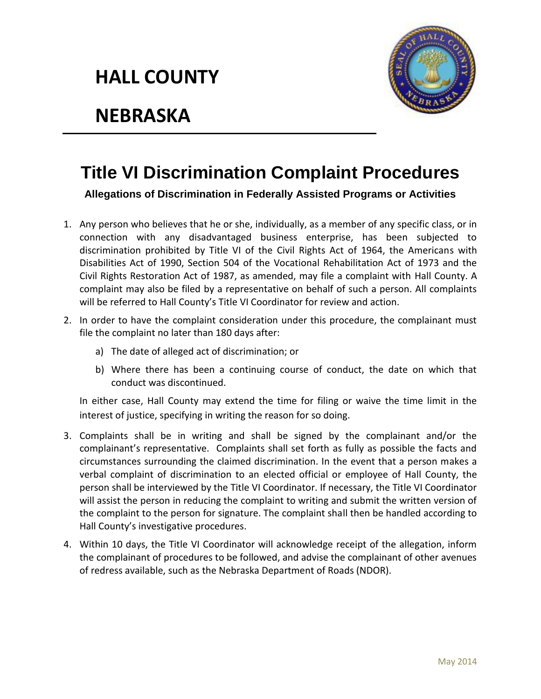## **HALL COUNTY**



## **NEBRASKA**

## **Title VI Discrimination Complaint Procedures**

**Allegations of Discrimination in Federally Assisted Programs or Activities**

- 1. Any person who believes that he or she, individually, as a member of any specific class, or in connection with any disadvantaged business enterprise, has been subjected to discrimination prohibited by Title VI of the Civil Rights Act of 1964, the Americans with Disabilities Act of 1990, Section 504 of the Vocational Rehabilitation Act of 1973 and the Civil Rights Restoration Act of 1987, as amended, may file a complaint with Hall County. A complaint may also be filed by a representative on behalf of such a person. All complaints will be referred to Hall County's Title VI Coordinator for review and action.
- 2. In order to have the complaint consideration under this procedure, the complainant must file the complaint no later than 180 days after:
	- a) The date of alleged act of discrimination; or
	- b) Where there has been a continuing course of conduct, the date on which that conduct was discontinued.

In either case, Hall County may extend the time for filing or waive the time limit in the interest of justice, specifying in writing the reason for so doing.

- 3. Complaints shall be in writing and shall be signed by the complainant and/or the complainant's representative. Complaints shall set forth as fully as possible the facts and circumstances surrounding the claimed discrimination. In the event that a person makes a verbal complaint of discrimination to an elected official or employee of Hall County, the person shall be interviewed by the Title VI Coordinator. If necessary, the Title VI Coordinator will assist the person in reducing the complaint to writing and submit the written version of the complaint to the person for signature. The complaint shall then be handled according to Hall County's investigative procedures.
- 4. Within 10 days, the Title VI Coordinator will acknowledge receipt of the allegation, inform the complainant of procedures to be followed, and advise the complainant of other avenues of redress available, such as the Nebraska Department of Roads (NDOR).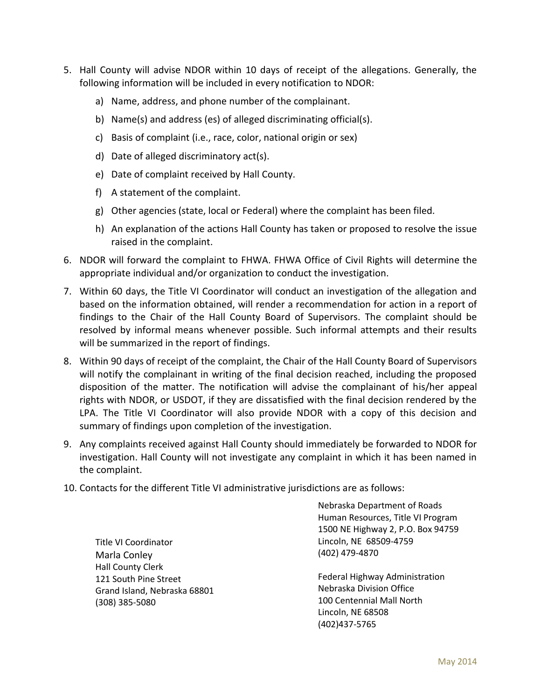- 5. Hall County will advise NDOR within 10 days of receipt of the allegations. Generally, the following information will be included in every notification to NDOR:
	- a) Name, address, and phone number of the complainant.
	- b) Name(s) and address (es) of alleged discriminating official(s).
	- c) Basis of complaint (i.e., race, color, national origin or sex)
	- d) Date of alleged discriminatory act(s).
	- e) Date of complaint received by Hall County.
	- f) A statement of the complaint.
	- g) Other agencies (state, local or Federal) where the complaint has been filed.
	- h) An explanation of the actions Hall County has taken or proposed to resolve the issue raised in the complaint.
- 6. NDOR will forward the complaint to FHWA. FHWA Office of Civil Rights will determine the appropriate individual and/or organization to conduct the investigation.
- 7. Within 60 days, the Title VI Coordinator will conduct an investigation of the allegation and based on the information obtained, will render a recommendation for action in a report of findings to the Chair of the Hall County Board of Supervisors. The complaint should be resolved by informal means whenever possible. Such informal attempts and their results will be summarized in the report of findings.
- 8. Within 90 days of receipt of the complaint, the Chair of the Hall County Board of Supervisors will notify the complainant in writing of the final decision reached, including the proposed disposition of the matter. The notification will advise the complainant of his/her appeal rights with NDOR, or USDOT, if they are dissatisfied with the final decision rendered by the LPA. The Title VI Coordinator will also provide NDOR with a copy of this decision and summary of findings upon completion of the investigation.
- 9. Any complaints received against Hall County should immediately be forwarded to NDOR for investigation. Hall County will not investigate any complaint in which it has been named in the complaint.
- 10. Contacts for the different Title VI administrative jurisdictions are as follows:

Title VI Coordinator Marla Conley Hall County Clerk 121 South Pine Street Grand Island, Nebraska 68801 (308) 385-5080

Nebraska Department of Roads Human Resources, Title VI Program 1500 NE Highway 2, P.O. Box 94759 Lincoln, NE 68509-4759 (402) 479-4870

Federal Highway Administration Nebraska Division Office 100 Centennial Mall North Lincoln, NE 68508 (402)437-5765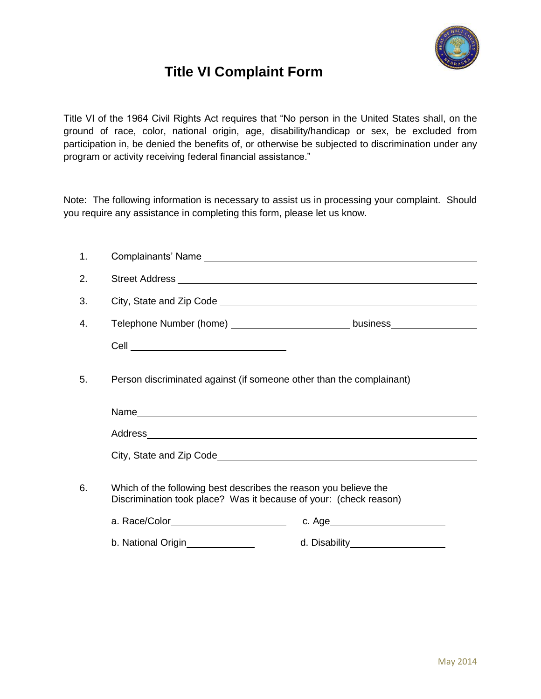

## **Title VI Complaint Form**

Title VI of the 1964 Civil Rights Act requires that "No person in the United States shall, on the ground of race, color, national origin, age, disability/handicap or sex, be excluded from participation in, be denied the benefits of, or otherwise be subjected to discrimination under any program or activity receiving federal financial assistance."

Note: The following information is necessary to assist us in processing your complaint. Should you require any assistance in completing this form, please let us know.

| 1. |                                                                                                                                                                                                      |  |
|----|------------------------------------------------------------------------------------------------------------------------------------------------------------------------------------------------------|--|
| 2. |                                                                                                                                                                                                      |  |
| 3. | City, State and Zip Code <b>contained</b> and Zip Code <b>contained a state of the state of the Contained Acts</b>                                                                                   |  |
| 4. | Telephone Number (home) ________________________________ business_______________                                                                                                                     |  |
|    |                                                                                                                                                                                                      |  |
| 5. | Person discriminated against (if someone other than the complainant)                                                                                                                                 |  |
|    |                                                                                                                                                                                                      |  |
|    |                                                                                                                                                                                                      |  |
|    | City, State and Zip Code                                                                                                                                                                             |  |
| 6. | Which of the following best describes the reason you believe the<br>Discrimination took place? Was it because of your: (check reason)<br>a. Race/Color________________________<br>b. National Origin |  |